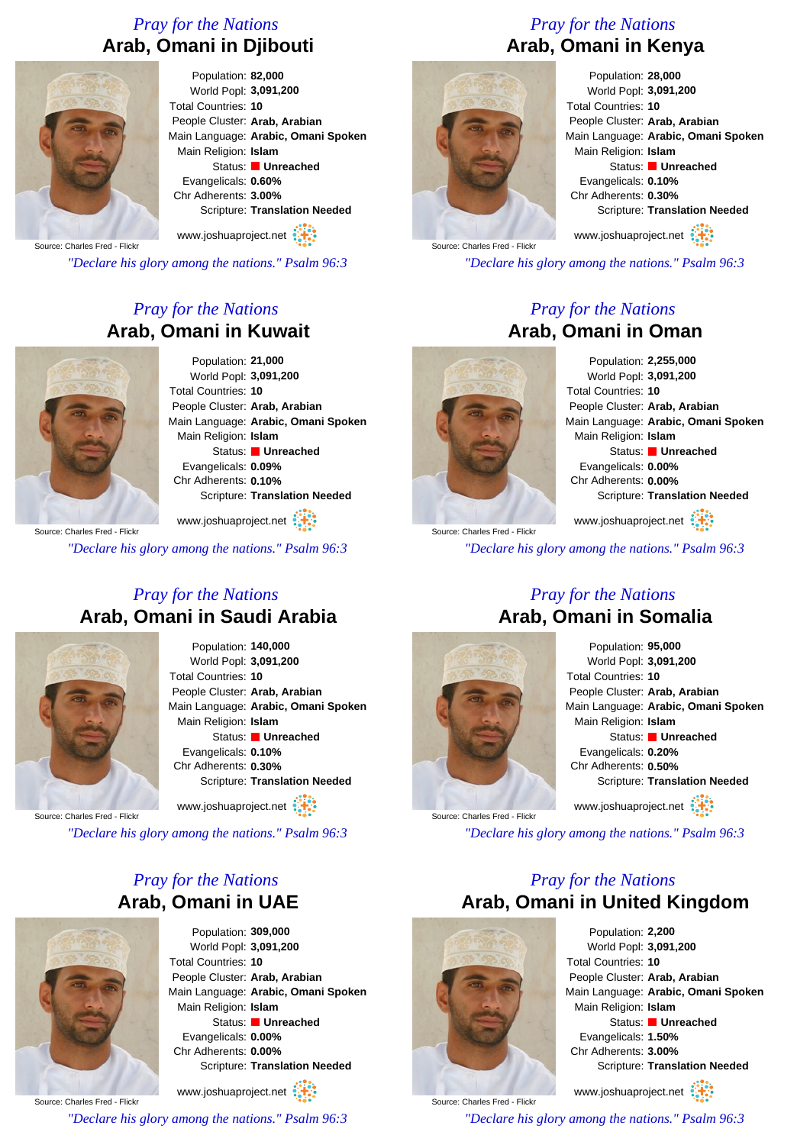## *Pray for the Nations* **Arab, Omani in Djibouti**



Population: **82,000** World Popl: **3,091,200** Total Countries: **10** People Cluster: **Arab, Arabian** Main Language: **Arabic, Omani Spoken** Main Religion: **Islam** Status: **Unreached** Evangelicals: **0.60%** Chr Adherents: **3.00%** Scripture: **Translation Needed**

Source: Charles Fred - Flickr www.joshuaproject.net

*"Declare his glory among the nations." Psalm 96:3*

## *Pray for the Nations* **Arab, Omani in Kuwait**



Population: **21,000** World Popl: **3,091,200** Total Countries: **10** People Cluster: **Arab, Arabian** Main Language: **Arabic, Omani Spoken** Main Religion: **Islam** Status: **Unreached** Evangelicals: **0.09%** Chr Adherents: **0.10%** Scripture: **Translation Needed**

Source: Charles Fred - Flick www.joshuaproject.net *"Declare his glory among the nations." Psalm 96:3*

#### *Pray for the Nations* **Arab, Omani in Saudi Arabia**



Population: **140,000** World Popl: **3,091,200** Total Countries: **10** People Cluster: **Arab, Arabian** Main Language: **Arabic, Omani Spoken** Main Religion: **Islam** Status: **Unreached** Evangelicals: **0.10%** Chr Adherents: **0.30%** Scripture: **Translation Needed**

www.joshuaproject.net

Source: Charles Fred - Flickr

*"Declare his glory among the nations." Psalm 96:3*

## *Pray for the Nations* **Arab, Omani in UAE**



Population: **309,000** World Popl: **3,091,200** Total Countries: **10** People Cluster: **Arab, Arabian** Main Language: **Arabic, Omani Spoken** Main Religion: **Islam** Status: **Unreached** Evangelicals: **0.00%** Chr Adherents: **0.00%** Scripture: **Translation Needed**

Source: Charles Fred - Flick www.joshuaproject.net *"Declare his glory among the nations." Psalm 96:3*

# *Pray for the Nations* **Arab, Omani in Kenya**



Population: **28,000** World Popl: **3,091,200** Total Countries: **10** People Cluster: **Arab, Arabian** Main Language: **Arabic, Omani Spoken** Main Religion: **Islam** Status: **Unreached** Evangelicals: **0.10%** Chr Adherents: **0.30%** Scripture: **Translation Needed**

Source: Charles Fred - Flickr www.joshuaproject.net

*"Declare his glory among the nations." Psalm 96:3*

### *Pray for the Nations* **Arab, Omani in Oman**

Population: **2,255,000** World Popl: **3,091,200** Total Countries: **10** People Cluster: **Arab, Arabian** Main Language: **Arabic, Omani Spoken** Main Religion: **Islam** Status: **Unreached** Evangelicals: **0.00%** Chr Adherents: **0.00%** Scripture: **Translation Needed**

www.joshuaproject.net

*"Declare his glory among the nations." Psalm 96:3*

#### *Pray for the Nations* **Arab, Omani in Somalia**



Source: Charles Fred - Flick

Source: Charles Fred - Flick

Population: **95,000** World Popl: **3,091,200** Total Countries: **10** People Cluster: **Arab, Arabian** Main Language: **Arabic, Omani Spoken** Main Religion: **Islam** Status: **Unreached** Evangelicals: **0.20%** Chr Adherents: **0.50%** Scripture: **Translation Needed** www.joshuaproject.net

*"Declare his glory among the nations." Psalm 96:3*

### *Pray for the Nations* **Arab, Omani in United Kingdom**



www.joshuaproject.net

*"Declare his glory among the nations." Psalm 96:3*